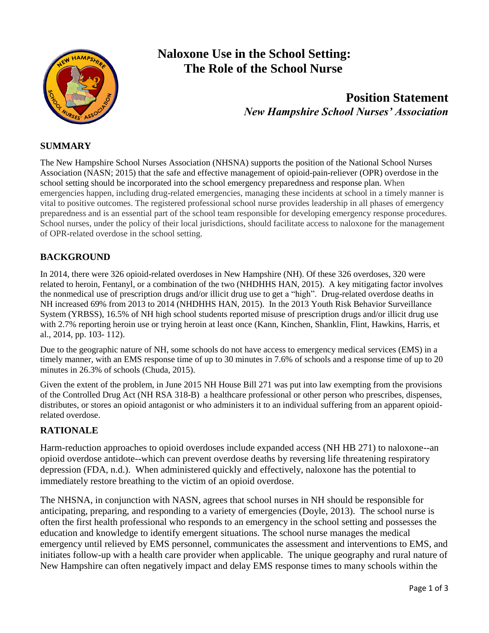

# **Naloxone Use in the School Setting: The Role of the School Nurse**

## **Position Statement**  *New Hampshire School Nurses' Association*

#### **SUMMARY**

The New Hampshire School Nurses Association (NHSNA) supports the position of the National School Nurses Association (NASN; 2015) that the safe and effective management of opioid-pain-reliever (OPR) overdose in the school setting should be incorporated into the school emergency preparedness and response plan. When emergencies happen, including drug-related emergencies, managing these incidents at school in a timely manner is vital to positive outcomes. The registered professional school nurse provides leadership in all phases of emergency preparedness and is an essential part of the school team responsible for developing emergency response procedures. School nurses, under the policy of their local jurisdictions, should facilitate access to naloxone for the management of OPR-related overdose in the school setting.

#### **BACKGROUND**

In 2014, there were 326 opioid-related overdoses in New Hampshire (NH). Of these 326 overdoses, 320 were related to heroin, Fentanyl, or a combination of the two (NHDHHS HAN, 2015). A key mitigating factor involves the nonmedical use of prescription drugs and/or illicit drug use to get a "high". Drug-related overdose deaths in NH increased 69% from 2013 to 2014 (NHDHHS HAN, 2015). In the 2013 Youth Risk Behavior Surveillance System (YRBSS), 16.5% of NH high school students reported misuse of prescription drugs and/or illicit drug use with 2.7% reporting heroin use or trying heroin at least once (Kann, Kinchen, Shanklin, Flint, Hawkins, Harris, et al., 2014, pp. 103- 112).

Due to the geographic nature of NH, some schools do not have access to emergency medical services (EMS) in a timely manner, with an EMS response time of up to 30 minutes in 7.6% of schools and a response time of up to 20 minutes in 26.3% of schools (Chuda, 2015).

Given the extent of the problem, in June 2015 NH House Bill 271 was put into law exempting from the provisions of the Controlled Drug Act (NH RSA 318-B) a healthcare professional or other person who prescribes, dispenses, distributes, or stores an opioid antagonist or who administers it to an individual suffering from an apparent opioidrelated overdose.

#### **RATIONALE**

Harm-reduction approaches to opioid overdoses include expanded access (NH HB 271) to naloxone--an opioid overdose antidote--which can prevent overdose deaths by reversing life threatening respiratory depression (FDA, n.d.). When administered quickly and effectively, naloxone has the potential to immediately restore breathing to the victim of an opioid overdose.

The NHSNA, in conjunction with NASN, agrees that school nurses in NH should be responsible for anticipating, preparing, and responding to a variety of emergencies (Doyle, 2013). The school nurse is often the first health professional who responds to an emergency in the school setting and possesses the education and knowledge to identify emergent situations. The school nurse manages the medical emergency until relieved by EMS personnel, communicates the assessment and interventions to EMS, and initiates follow-up with a health care provider when applicable. The unique geography and rural nature of New Hampshire can often negatively impact and delay EMS response times to many schools within the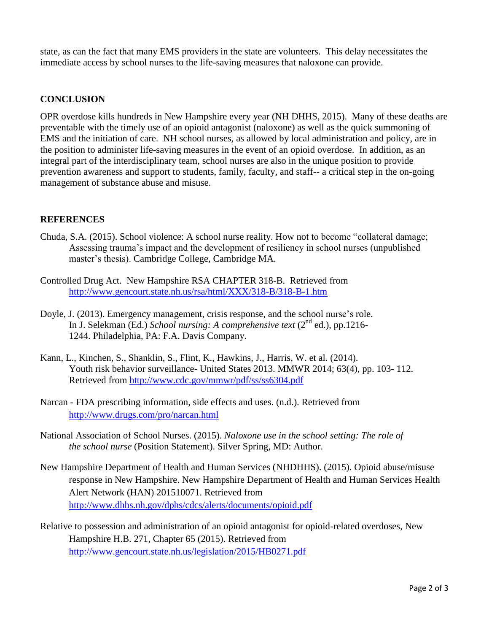state, as can the fact that many EMS providers in the state are volunteers. This delay necessitates the immediate access by school nurses to the life-saving measures that naloxone can provide.

#### **CONCLUSION**

OPR overdose kills hundreds in New Hampshire every year (NH DHHS, 2015). Many of these deaths are preventable with the timely use of an opioid antagonist (naloxone) as well as the quick summoning of EMS and the initiation of care. NH school nurses, as allowed by local administration and policy, are in the position to administer life-saving measures in the event of an opioid overdose. In addition, as an integral part of the interdisciplinary team, school nurses are also in the unique position to provide prevention awareness and support to students, family, faculty, and staff-- a critical step in the on-going management of substance abuse and misuse.

#### **REFERENCES**

- Chuda, S.A. (2015). School violence: A school nurse reality. How not to become "collateral damage; Assessing trauma's impact and the development of resiliency in school nurses (unpublished master's thesis). Cambridge College, Cambridge MA.
- Controlled Drug Act. New Hampshire RSA CHAPTER 318-B. Retrieved from <http://www.gencourt.state.nh.us/rsa/html/XXX/318-B/318-B-1.htm>
- Doyle, J. (2013). Emergency management, crisis response, and the school nurse's role. In J. Selekman (Ed.) *School nursing: A comprehensive text* (2<sup>nd</sup> ed.), pp.1216-1244. Philadelphia, PA: F.A. Davis Company.
- Kann, L., Kinchen, S., Shanklin, S., Flint, K., Hawkins, J., Harris, W. et al. (2014). Youth risk behavior surveillance- United States 2013. MMWR 2014; 63(4), pp. 103- 112. Retrieved from<http://www.cdc.gov/mmwr/pdf/ss/ss6304.pdf>
- Narcan FDA prescribing information, side effects and uses. (n.d.). Retrieved from <http://www.drugs.com/pro/narcan.html>
- National Association of School Nurses. (2015). *Naloxone use in the school setting: The role of the school nurse* (Position Statement). Silver Spring, MD: Author.
- New Hampshire Department of Health and Human Services (NHDHHS). (2015). Opioid abuse/misuse response in New Hampshire. New Hampshire Department of Health and Human Services Health Alert Network (HAN) 201510071. Retrieved from <http://www.dhhs.nh.gov/dphs/cdcs/alerts/documents/opioid.pdf>
- Relative to possession and administration of an opioid antagonist for opioid-related overdoses, New Hampshire H.B. 271, Chapter 65 (2015). Retrieved from <http://www.gencourt.state.nh.us/legislation/2015/HB0271.pdf>